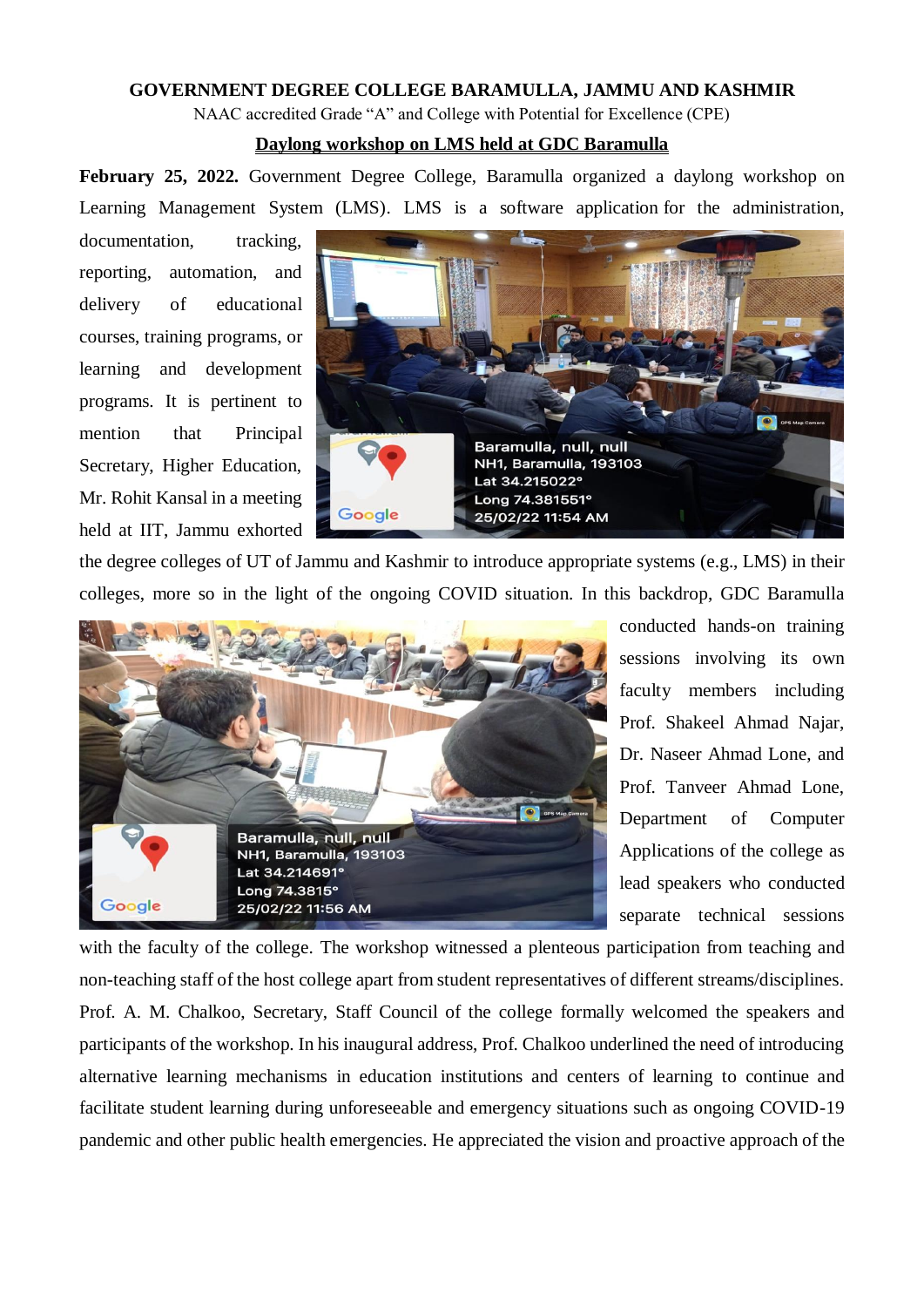## **GOVERNMENT DEGREE COLLEGE BARAMULLA, JAMMU AND KASHMIR**

NAAC accredited Grade "A" and College with Potential for Excellence (CPE)

## **Daylong workshop on LMS held at GDC Baramulla**

**February 25, 2022.** Government Degree College, Baramulla organized a daylong workshop on Learning Management System (LMS). LMS is a software application for the administration,

documentation, tracking, reporting, automation, and delivery of educational courses, training programs, or learning and development programs. It is pertinent to mention that Principal Secretary, Higher Education, Mr. Rohit Kansal in a meeting held at IIT, Jammu exhorted



the degree colleges of UT of Jammu and Kashmir to introduce appropriate systems (e.g., LMS) in their colleges, more so in the light of the ongoing COVID situation. In this backdrop, GDC Baramulla



conducted hands-on training sessions involving its own faculty members including Prof. Shakeel Ahmad Najar, Dr. Naseer Ahmad Lone, and Prof. Tanveer Ahmad Lone, Department of Computer Applications of the college as lead speakers who conducted separate technical sessions

with the faculty of the college. The workshop witnessed a plenteous participation from teaching and non-teaching staff of the host college apart from student representatives of different streams/disciplines. Prof. A. M. Chalkoo, Secretary, Staff Council of the college formally welcomed the speakers and participants of the workshop. In his inaugural address, Prof. Chalkoo underlined the need of introducing alternative learning mechanisms in education institutions and centers of learning to continue and facilitate student learning during unforeseeable and emergency situations such as ongoing COVID-19 pandemic and other public health emergencies. He appreciated the vision and proactive approach of the